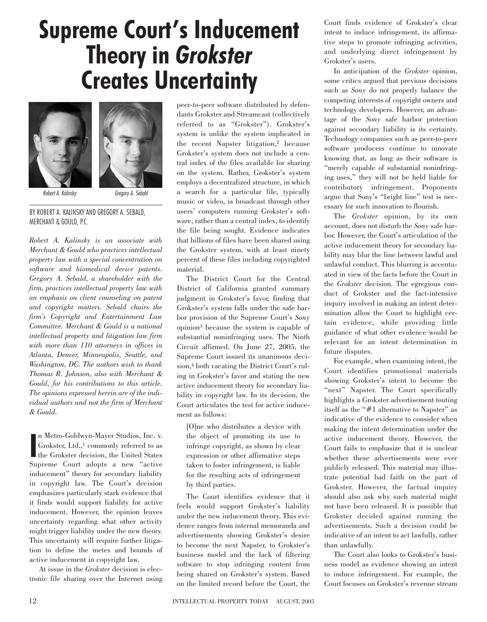## **Supreme Court's Inducement Theory in** *Grokster* **Creates Uncertainty**





*Robert A. Kalinsky Gregory A. Sebald*

BY ROBERT A. KALINSKY AND GREGORY A. SEBALD, MERCHANT & GOULD, P.C.

*Robert A. Kalinsky is an associate with Merchant & Gould who practices intellectual property law with a special concentration on software and biomedical device patents. Gregory A. Sebald, a shareholder with the firm, practices intellectual property law with an emphasis on client counseling on patent and copyright matters. Sebald chairs the firm's Copyright and Entertainment Law Committee. Merchant & Gould is a national intellectual property and litigation law firm with more than 110 attorneys in offices in Atlanta, Denver, Minneapolis, Seattle, and Washington, DC. The authors wish to thank Thomas R. Johnson, also with Merchant & Gould, for his contributions to this article. The opinions expressed herein are of the individual authors and not the firm of Merchant & Gould.*

In Metro-Goldwyn-Mayer Studios, Inc. v.<br>
Grokster, Ltd.,<sup>1</sup> commonly referred to as<br>
the Grokster decision, the United States n Metro-Goldwyn-Mayer Studios, Inc. v. Grokster, Ltd.,<sup>1</sup> commonly referred to as Supreme Court adopts a new "active inducement" theory for secondary liability in copyright law. The Court's decision emphasizes particularly stark evidence that it finds would support liability for active inducement. However, the opinion leaves uncertainty regarding what other activity might trigger liability under the new theory. This uncertainty will require further litigation to define the metes and bounds of active inducement in copyright law.

At issue in the *Grokster* decision is electronic file sharing over the Internet using peer-to-peer software distributed by defendants Grokster and Streamcast (collectively referred to as "Grokster"). Grokster's system is unlike the system implicated in the recent Napster litigation,<sup>2</sup> because Grokster's system does not include a central index of the files available for sharing on the system. Rather, Grokster's system employs a decentralized structure, in which a search for a particular file, typically music or video, is broadcast through other users' computers running Grokster's software, rather than a central index, to identify the file being sought. Evidence indicates that billions of files have been shared using the Grokster system, with at least ninety percent of these files including copyrighted material.

The District Court for the Central District of California granted summary judgment in Grokster's favor, finding that Grokster's system falls under the safe harbor provision of the Supreme Court's *Sony* opinion3 because the system is capable of substantial noninfringing uses. The Ninth Circuit affirmed. On June 27, 2005, the Supreme Court issued its unanimous decision,4 both vacating the District Court's ruling in Grokster's favor and stating the new active inducement theory for secondary liability in copyright law. In its decision, the Court articulates the test for active inducement as follows:

[O]ne who distributes a device with the object of promoting its use to infringe copyright, as shown by clear expression or other affirmative steps taken to foster infringement, is liable for the resulting acts of infringement by third parties.

The Court identifies evidence that it feels would support Grokster's liability under the new inducement theory. This evidence ranges from internal memoranda and advertisements showing Grokster's desire to become the next Napster, to Grokster's business model and the lack of filtering software to stop infringing content from being shared on Grokster's system. Based on the limited record before the Court, the

Court finds evidence of Grokster's clear intent to induce infringement, its affirmative steps to promote infringing activities, and underlying direct infringement by Grokster's users.

In anticipation of the *Grokster* opinion, some critics argued that previous decisions such as *Sony* do not properly balance the competing interests of copyright owners and technology developers. However, an advantage of the *Sony* safe harbor protection against secondary liability is its certainty. Technology companies such as peer-to-peer software producers continue to innovate knowing that, as long as their software is "merely capable of substantial noninfringing uses," they will not be held liable for contributory infringement. Proponents argue that Sony's "bright line" test is necessary for such innovation to flourish.

The *Grokster* opinion, by its own account, does not disturb the *Sony* safe harbor. However, the Court's articulation of the active inducement theory for secondary liability may blur the line between lawful and unlawful conduct. This blurring is accentuated in view of the facts before the Court in the *Grokster* decision. The egregious conduct of Grokster and the fact-intensive inquiry involved in making an intent determination allow the Court to highlight certain evidence, while providing little guidance of what other evidence would be relevant for an intent determination in future disputes.

For example, when examining intent, the Court identifies promotional materials showing Grokster's intent to become the "next" Napster. The Court specifically highlights a Grokster advertisement touting itself as the "#1 alternative to Napster" as indicative of the evidence to consider when making the intent determination under the active inducement theory. However, the Court fails to emphasize that it is unclear whether these advertisements were ever publicly released. This material may illustrate potential bad faith on the part of Grokster. However, the factual inquiry should also ask why such material might not have been released. It is possible that Grokster decided against running the advertisements. Such a decision could be indicative of an intent to act lawfully, rather than unlawfully.

The Court also looks to Grokster's business model as evidence showing an intent to induce infringement. For example, the Court focuses on Grokster's revenue stream